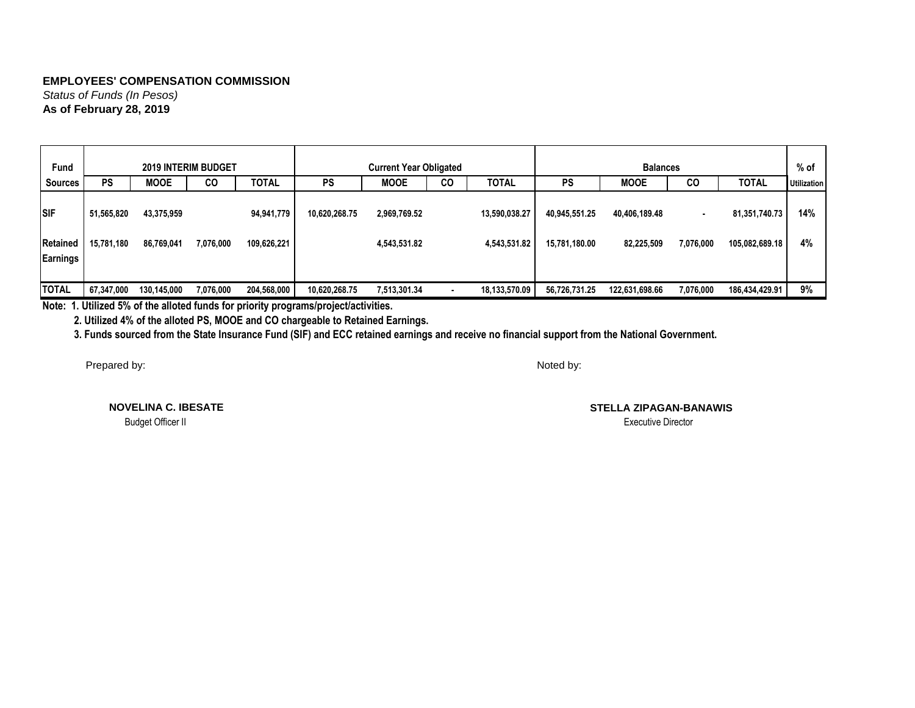*Status of Funds (In Pesos)* **As of February 28, 2019**

| Fund         |            |             | <b>2019 INTERIM BUDGET</b> |              |               | <b>Current Year Obligated</b> |           |               |               | <b>Balances</b> |           |                | $%$ of             |
|--------------|------------|-------------|----------------------------|--------------|---------------|-------------------------------|-----------|---------------|---------------|-----------------|-----------|----------------|--------------------|
| Sources      | <b>PS</b>  | <b>MOOE</b> | CO                         | <b>TOTAL</b> | <b>PS</b>     | <b>MOOE</b>                   | <b>CO</b> | <b>TOTAL</b>  | <b>PS</b>     | <b>MOOE</b>     | CO        | <b>TOTAL</b>   | <b>Utilization</b> |
| <b>SIF</b>   | 51,565,820 | 43,375,959  |                            | 94,941,779   | 10,620,268.75 | 2,969,769.52                  |           | 13,590,038.27 | 40,945,551.25 | 40,406,189.48   |           | 81,351,740.73  | 14%                |
| Retained     | 15,781,180 | 86,769,041  | 7,076,000                  | 109,626,221  |               | 4,543,531.82                  |           | 4.543.531.82  | 15,781,180.00 | 82,225,509      | 7,076,000 | 105,082,689.18 | 4%                 |
|              |            |             |                            |              |               |                               |           |               |               |                 |           |                |                    |
| Earnings     |            |             |                            |              |               |                               |           |               |               |                 |           |                |                    |
|              |            |             |                            |              |               |                               |           |               |               |                 |           |                |                    |
| <b>TOTAL</b> | 67,347,000 | 130,145,000 | 7,076,000                  | 204,568,000  | 10,620,268.75 | 7,513,301.34                  |           | 18,133,570.09 | 56,726,731.25 | 122,631,698.66  | 7,076,000 | 186,434,429.91 | 9%                 |

**Note: 1. Utilized 5% of the alloted funds for priority programs/project/activities.**

 **2. Utilized 4% of the alloted PS, MOOE and CO chargeable to Retained Earnings.**

 **3. Funds sourced from the State Insurance Fund (SIF) and ECC retained earnings and receive no financial support from the National Government.**

Prepared by:

Noted by:

**NOVELINA C. IBESATE**

Budget Officer II Executive Director

**STELLA ZIPAGAN-BANAWIS**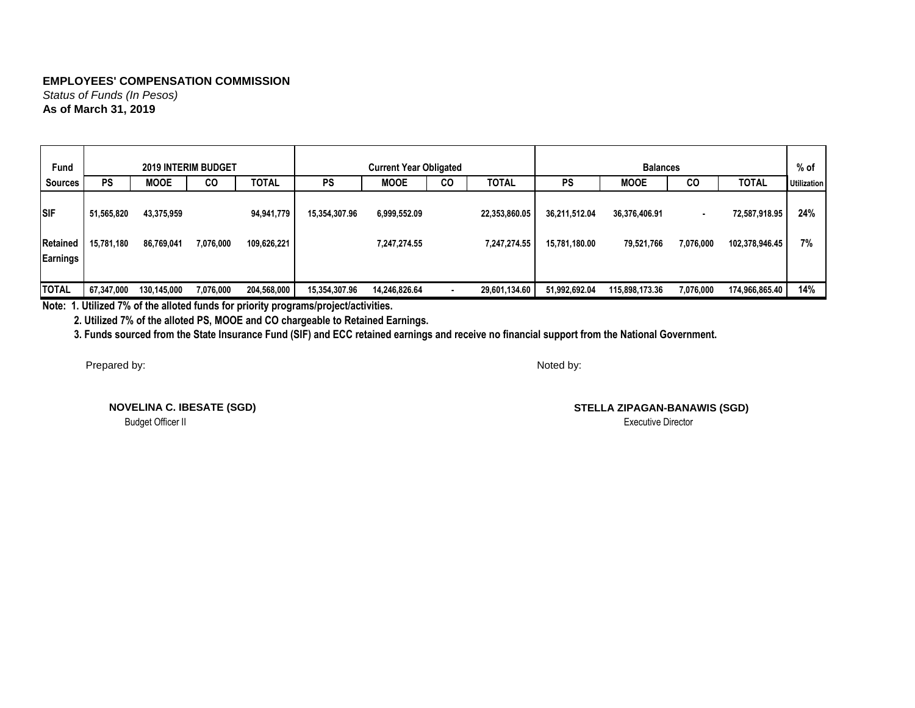*Status of Funds (In Pesos)* **As of March 31, 2019**

| Fund            |            |             | <b>2019 INTERIM BUDGET</b> |              |               | <b>Current Year Obligated</b> |           |               |               | <b>Balances</b> |           |                | $%$ of             |
|-----------------|------------|-------------|----------------------------|--------------|---------------|-------------------------------|-----------|---------------|---------------|-----------------|-----------|----------------|--------------------|
| Sources         | <b>PS</b>  | <b>MOOE</b> | CO                         | <b>TOTAL</b> | <b>PS</b>     | <b>MOOE</b>                   | <b>CO</b> | <b>TOTAL</b>  | <b>PS</b>     | <b>MOOE</b>     | CO        | <b>TOTAL</b>   | <b>Utilization</b> |
| Isif            | 51,565,820 | 43,375,959  |                            | 94,941,779   | 15,354,307.96 | 6,999,552.09                  |           | 22,353,860.05 | 36,211,512.04 | 36,376,406.91   |           | 72,587,918.95  | 24%                |
| <b>Retained</b> | 15,781,180 | 86,769,041  | 7,076,000                  | 109,626,221  |               | 7,247,274.55                  |           | 7.247.274.55  | 15,781,180.00 | 79,521,766      | 7,076,000 | 102,378,946.45 | 7%                 |
| Earnings        |            |             |                            |              |               |                               |           |               |               |                 |           |                |                    |
|                 |            |             |                            |              |               |                               |           |               |               |                 |           |                |                    |
| <b>TOTAL</b>    | 67,347,000 | 130,145,000 | 7,076,000                  | 204,568,000  | 15,354,307.96 | 14,246,826.64                 |           | 29,601,134.60 | 51,992,692.04 | 115,898,173.36  | 7,076,000 | 174,966,865.40 | 14%                |

**Note: 1. Utilized 7% of the alloted funds for priority programs/project/activities.**

 **2. Utilized 7% of the alloted PS, MOOE and CO chargeable to Retained Earnings.**

 **3. Funds sourced from the State Insurance Fund (SIF) and ECC retained earnings and receive no financial support from the National Government.**

Prepared by:

Noted by:

**NOVELINA C. IBESATE (SGD)**

**STELLA ZIPAGAN-BANAWIS (SGD)** Budget Officer II Executive Director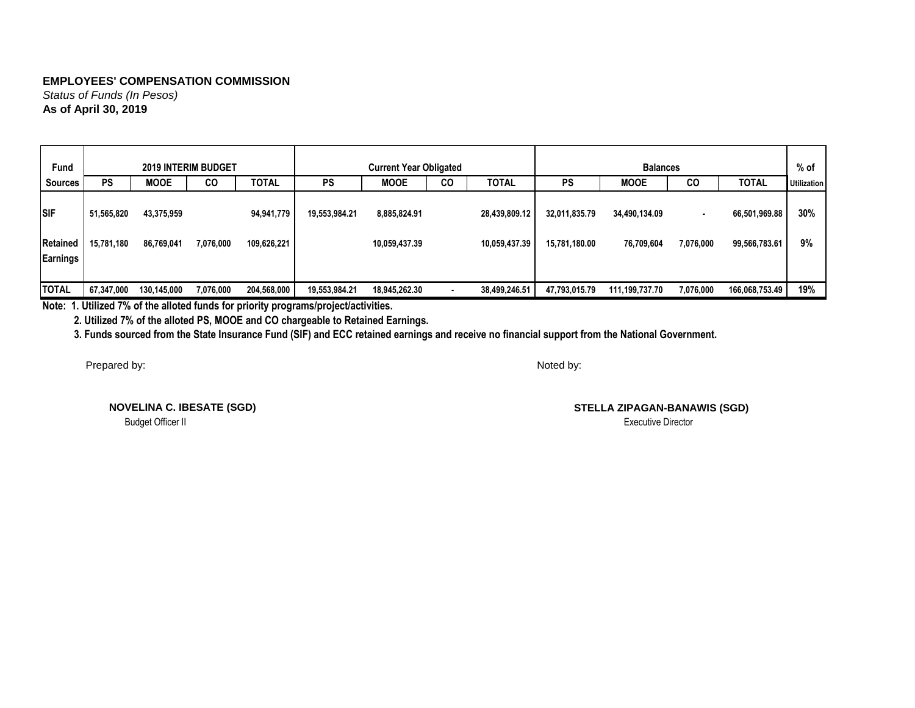*Status of Funds (In Pesos)* **As of April 30, 2019**

| Fund            |            |             | <b>2019 INTERIM BUDGET</b> |              |               | <b>Current Year Obligated</b>     |  |               |               | <b>Balances</b> |           |                | % of               |
|-----------------|------------|-------------|----------------------------|--------------|---------------|-----------------------------------|--|---------------|---------------|-----------------|-----------|----------------|--------------------|
| Sources         | <b>PS</b>  | <b>MOOE</b> | CO                         | <b>TOTAL</b> | <b>PS</b>     | <b>MOOE</b><br><b>TOTAL</b><br>CO |  |               | <b>PS</b>     | <b>MOOE</b>     | CO        | <b>TOTAL</b>   | <b>Utilization</b> |
| <b>SIF</b>      | 51,565,820 | 43,375,959  |                            | 94,941,779   | 19,553,984.21 | 8,885,824.91                      |  | 28,439,809.12 | 32,011,835.79 | 34,490,134.09   |           | 66,501,969.88  | 30%                |
| Retained        | 15,781,180 | 86,769,041  | 7,076,000                  | 109,626,221  |               | 10,059,437.39                     |  | 10,059,437.39 | 15,781,180.00 | 76,709,604      | 7,076,000 | 99,566,783.61  | 9%                 |
| <b>Earnings</b> |            |             |                            |              |               |                                   |  |               |               |                 |           |                |                    |
|                 |            |             |                            |              |               |                                   |  |               |               |                 |           |                |                    |
| <b>TOTAL</b>    | 67,347,000 | 130,145,000 | 7,076,000                  | 204,568,000  | 19,553,984.21 | 18,945,262.30                     |  | 38,499,246.51 | 47,793,015.79 | 111,199,737.70  | 7,076,000 | 166,068,753.49 | 19%                |

**Note: 1. Utilized 7% of the alloted funds for priority programs/project/activities.**

 **2. Utilized 7% of the alloted PS, MOOE and CO chargeable to Retained Earnings.**

 **3. Funds sourced from the State Insurance Fund (SIF) and ECC retained earnings and receive no financial support from the National Government.**

Prepared by:

Noted by:

**NOVELINA C. IBESATE (SGD)**

**STELLA ZIPAGAN-BANAWIS (SGD)** Budget Officer II Executive Director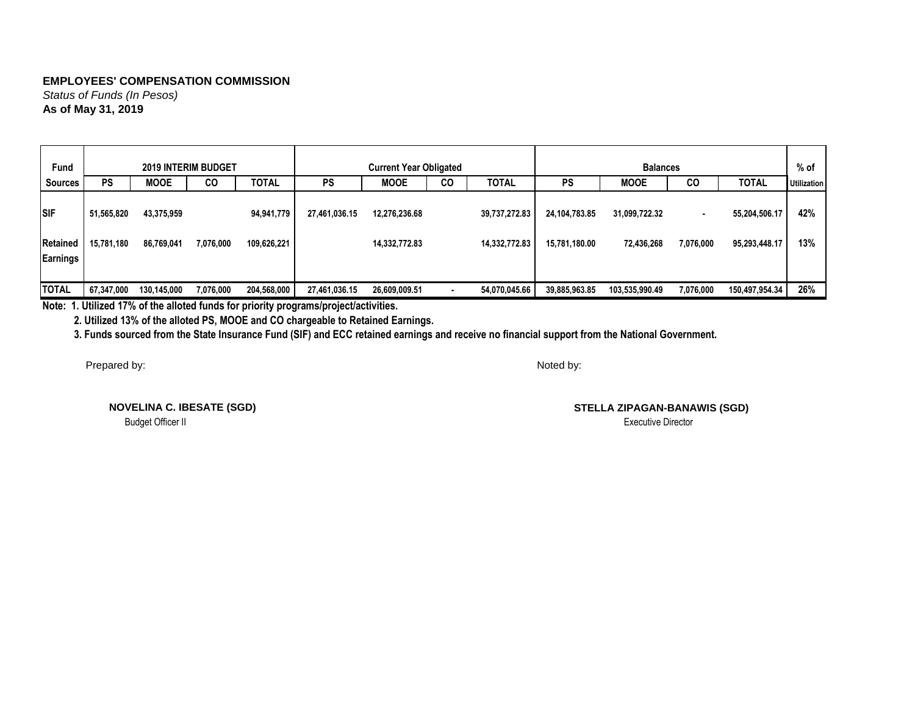*Status of Funds (In Pesos)* **As of May 31, 2019**

| Fund                          |                          |                          | <b>2019 INTERIM BUDGET</b> |                           |               | <b>Current Year Obligated</b>  |           |                                |                                | <b>Balances</b>             |           |                                | $%$ of             |
|-------------------------------|--------------------------|--------------------------|----------------------------|---------------------------|---------------|--------------------------------|-----------|--------------------------------|--------------------------------|-----------------------------|-----------|--------------------------------|--------------------|
| Sources                       | <b>PS</b>                | <b>MOOE</b>              | CO                         | <b>TOTAL</b>              | <b>PS</b>     | <b>MOOE</b>                    | <b>CO</b> | <b>TOTAL</b>                   | <b>PS</b>                      | <b>MOOE</b>                 | CO        | <b>TOTAL</b>                   | <b>Utilization</b> |
| <b>SIF</b><br><b>Retained</b> | 51,565,820<br>15,781,180 | 43,375,959<br>86,769,041 | 7,076,000                  | 94,941,779<br>109,626,221 | 27,461,036.15 | 12,276,236.68<br>14,332,772.83 |           | 39,737,272.83<br>14,332,772.83 | 24,104,783.85<br>15,781,180.00 | 31,099,722.32<br>72,436,268 | 7,076,000 | 55,204,506.17<br>95,293,448.17 | 42%<br>13%         |
|                               |                          |                          |                            |                           |               |                                |           |                                |                                |                             |           |                                |                    |
| Earnings                      |                          |                          |                            |                           |               |                                |           |                                |                                |                             |           |                                |                    |
|                               |                          |                          |                            |                           |               |                                |           |                                |                                |                             |           |                                |                    |
| <b>TOTAL</b>                  | 67,347,000               | 130,145,000              | 7,076,000                  | 204,568,000               | 27,461,036.15 | 26,609,009.51                  |           | 54,070,045.66                  | 39,885,963.85                  | 103,535,990.49              | 7,076,000 | 150,497,954.34                 | 26%                |

**Note: 1. Utilized 17% of the alloted funds for priority programs/project/activities.**

 **2. Utilized 13% of the alloted PS, MOOE and CO chargeable to Retained Earnings.**

 **3. Funds sourced from the State Insurance Fund (SIF) and ECC retained earnings and receive no financial support from the National Government.**

Prepared by:

Noted by:

**NOVELINA C. IBESATE (SGD)**

**STELLA ZIPAGAN-BANAWIS (SGD)** Budget Officer II Executive Director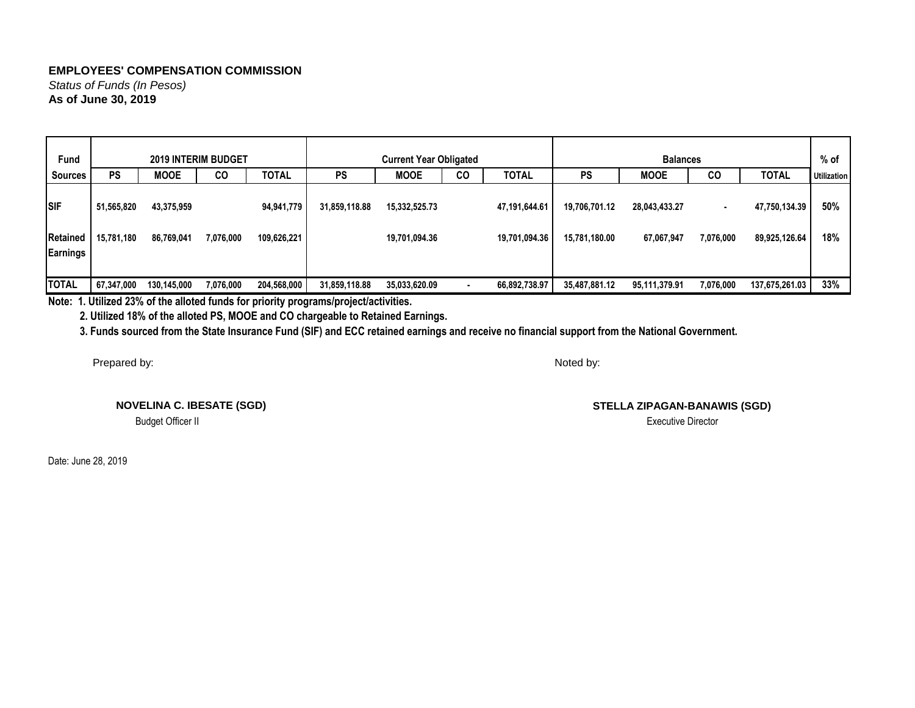*Status of Funds (In Pesos)* **As of June 30, 2019**

| <b>Fund</b>                   |                          |                          | <b>2019 INTERIM BUDGET</b> |                           |               | <b>Current Year Obligated</b>            |  |                                |                                | <b>Balances</b>             |           |                                | $%$ of             |
|-------------------------------|--------------------------|--------------------------|----------------------------|---------------------------|---------------|------------------------------------------|--|--------------------------------|--------------------------------|-----------------------------|-----------|--------------------------------|--------------------|
| Sources                       | <b>PS</b>                | <b>MOOE</b>              | CO                         | <b>TOTAL</b>              | <b>PS</b>     | <b>MOOE</b><br><b>TOTAL</b><br><b>CO</b> |  |                                | PS                             | <b>MOOE</b>                 | CO        | <b>TOTAL</b>                   | <b>Utilization</b> |
| <b>SIF</b><br><b>Retained</b> | 51,565,820<br>15,781,180 | 43,375,959<br>86,769,041 | 7,076,000                  | 94,941,779<br>109,626,221 | 31,859,118.88 | 15,332,525.73<br>19,701,094.36           |  | 47,191,644.61<br>19,701,094.36 | 19,706,701.12<br>15,781,180.00 | 28,043,433.27<br>67,067,947 | 7,076,000 | 47,750,134.39<br>89,925,126.64 | 50%<br>18%         |
| <b>Earnings</b>               |                          |                          |                            |                           |               |                                          |  |                                |                                |                             |           |                                |                    |
| <b>TOTAL</b>                  | 67,347,000               | 130,145,000              | 7,076,000                  | 204,568,000               | 31,859,118.88 | 35,033,620.09                            |  | 66,892,738.97                  | 35,487,881.12                  | 95,111,379.91               | 7,076,000 | 137,675,261.03                 | 33%                |

**Note: 1. Utilized 23% of the alloted funds for priority programs/project/activities.**

 **2. Utilized 18% of the alloted PS, MOOE and CO chargeable to Retained Earnings.**

 **3. Funds sourced from the State Insurance Fund (SIF) and ECC retained earnings and receive no financial support from the National Government.**

Prepared by:

**NOVELINA C. IBESATE (SGD)**

Budget Officer II Executive Director in the state of the state of the state of the state of the state of the state of the state of the state of the state of the state of the state of the state of the state of the state of

Date: June 28, 2019

Noted by:

**STELLA ZIPAGAN-BANAWIS (SGD)**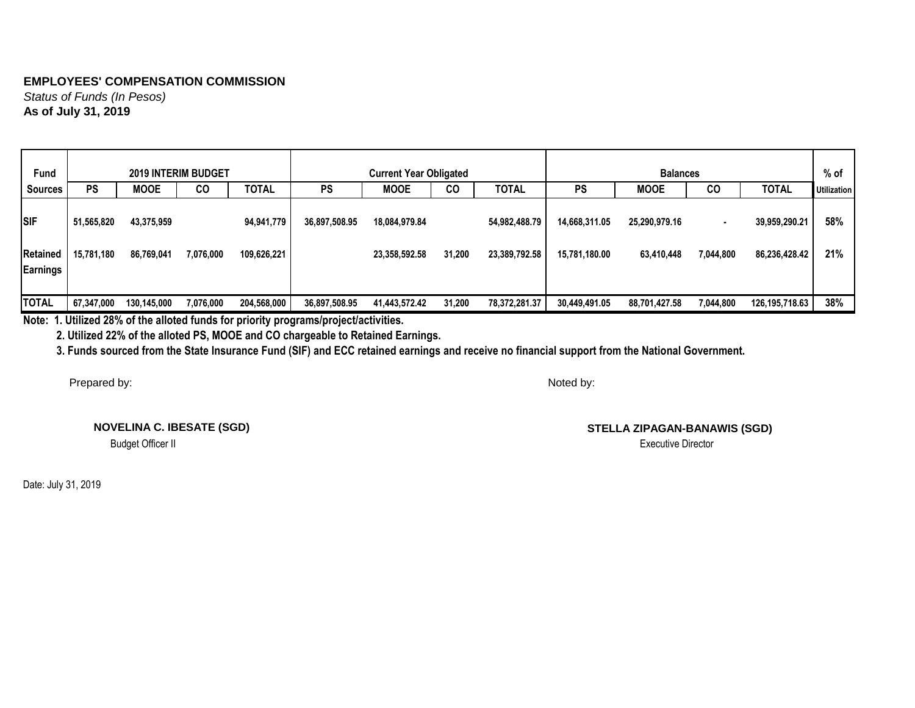*Status of Funds (In Pesos)* **As of July 31, 2019**

| <b>Fund</b>                   |                          | <b>2019 INTERIM BUDGET</b> |           |                           |               | <b>Current Year Obligated</b>  |           |                                |                                | <b>Balances</b>             |           |                                | $%$ of             |
|-------------------------------|--------------------------|----------------------------|-----------|---------------------------|---------------|--------------------------------|-----------|--------------------------------|--------------------------------|-----------------------------|-----------|--------------------------------|--------------------|
| <b>Sources</b>                | <b>PS</b>                | <b>MOOE</b>                | <b>CO</b> | <b>TOTAL</b>              | <b>PS</b>     | <b>MOOE</b>                    | <b>CO</b> | <b>TOTAL</b>                   | <b>PS</b>                      | <b>MOOE</b>                 | CO        | <b>TOTAL</b>                   | <b>Utilization</b> |
| <b>SIF</b><br><b>Retained</b> | 51,565,820<br>15,781,180 | 43,375,959<br>86,769,041   | 7,076,000 | 94,941,779<br>109,626,221 | 36,897,508.95 | 18,084,979.84<br>23,358,592.58 | 31,200    | 54,982,488.79<br>23,389,792.58 | 14,668,311.05<br>15,781,180.00 | 25,290,979.16<br>63,410,448 | 7,044,800 | 39,959,290.21<br>86,236,428.42 | 58%<br>21%         |
|                               |                          |                            |           |                           |               |                                |           |                                |                                |                             |           |                                |                    |
| <b>Earnings</b>               |                          |                            |           |                           |               |                                |           |                                |                                |                             |           |                                |                    |
| <b>TOTAL</b>                  | 67,347,000               | 130,145,000                | 7,076,000 | 204,568,000               | 36,897,508.95 | 41,443,572.42                  | 31,200    | 78,372,281.37                  | 30,449,491.05                  | 88,701,427.58               | 7,044,800 | 126,195,718.63                 | 38%                |

**Note: 1. Utilized 28% of the alloted funds for priority programs/project/activities.**

 **2. Utilized 22% of the alloted PS, MOOE and CO chargeable to Retained Earnings.**

 **3. Funds sourced from the State Insurance Fund (SIF) and ECC retained earnings and receive no financial support from the National Government.**

Prepared by:

**NOVELINA C. IBESATE (SGD)**

Budget Officer II

Date: July 31, 2019

Noted by:

**STELLA ZIPAGAN-BANAWIS (SGD)**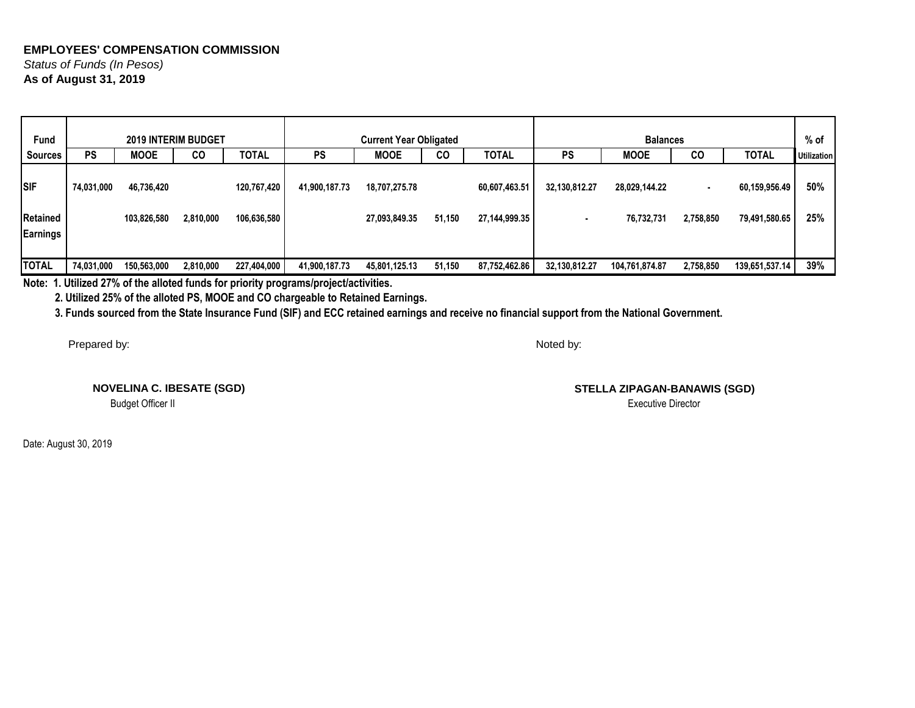## **EMPLOYEES' COMPENSATION COMMISSION** *Status of Funds (In Pesos)*

**As of August 31, 2019**

| <b>Fund</b>     |            | <b>2019 INTERIM BUDGET</b> |           |              |               | <b>Current Year Obligated</b> |           |               |               | <b>Balances</b> |                          |                | % of               |
|-----------------|------------|----------------------------|-----------|--------------|---------------|-------------------------------|-----------|---------------|---------------|-----------------|--------------------------|----------------|--------------------|
| Sources         | <b>PS</b>  | <b>MOOE</b>                | CO        | <b>TOTAL</b> | <b>PS</b>     | <b>MOOE</b>                   | <b>CO</b> | <b>TOTAL</b>  | PS            | <b>MOOE</b>     | <b>CO</b>                | <b>TOTAL</b>   | <b>Utilization</b> |
| <b>SIF</b>      | 74,031,000 | 46,736,420                 |           | 120,767,420  | 41,900,187.73 | 18,707,275.78                 |           | 60,607,463.51 | 32,130,812.27 | 28,029,144.22   | $\overline{\phantom{a}}$ | 60,159,956.49  | 50%                |
| <b>Retained</b> |            | 103,826,580                | 2,810,000 | 106,636,580  |               | 27,093,849.35                 | 51,150    | 27,144,999.35 |               | 76,732,731      | 2,758,850                | 79,491,580.65  | 25%                |
| <b>Earnings</b> |            |                            |           |              |               |                               |           |               |               |                 |                          |                |                    |
| <b>TOTAL</b>    | 74,031,000 | 150,563,000                | 2,810,000 | 227,404,000  | 41,900,187.73 | 45,801,125.13                 | 51,150    | 87,752,462.86 | 32,130,812.27 | 104,761,874.87  | 2,758,850                | 139,651,537.14 | 39%                |

**Note: 1. Utilized 27% of the alloted funds for priority programs/project/activities.**

 **2. Utilized 25% of the alloted PS, MOOE and CO chargeable to Retained Earnings.**

 **3. Funds sourced from the State Insurance Fund (SIF) and ECC retained earnings and receive no financial support from the National Government.**

Prepared by:

Noted by:

**NOVELINA C. IBESATE (SGD)**

**STELLA ZIPAGAN-BANAWIS (SGD)** Budget Officer II Executive Director

Date: August 30, 2019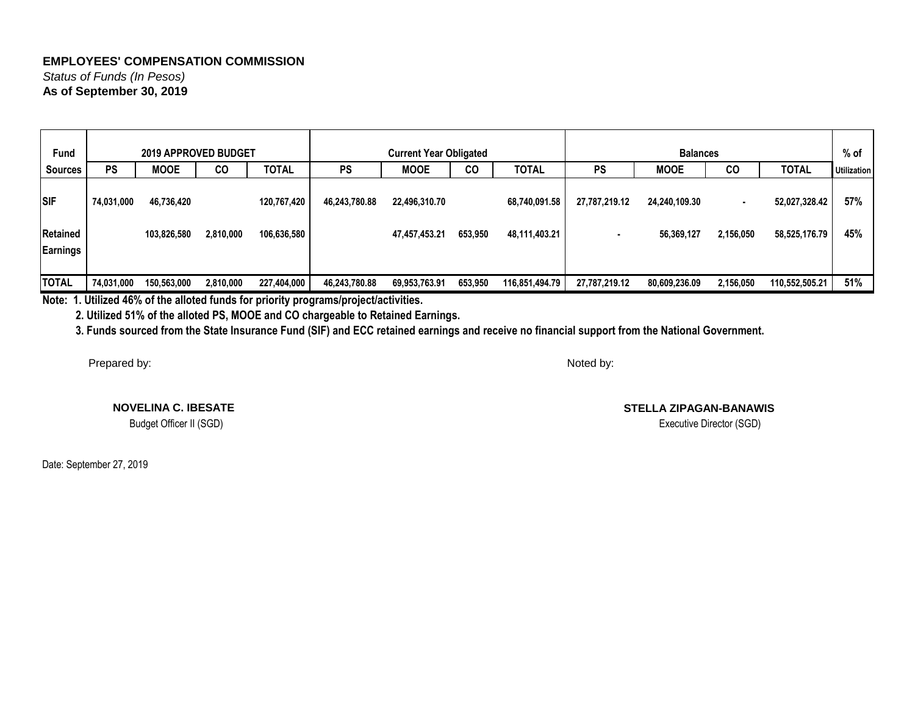*Status of Funds (In Pesos)* **As of September 30, 2019**

| <b>Fund</b>     |            | 2019 APPROVED BUDGET |           |              |               | <b>Current Year Obligated</b> |           |                |               | <b>Balances</b> |           |                | % of               |
|-----------------|------------|----------------------|-----------|--------------|---------------|-------------------------------|-----------|----------------|---------------|-----------------|-----------|----------------|--------------------|
| <b>Sources</b>  | <b>PS</b>  | <b>MOOE</b>          | CO        | <b>TOTAL</b> | <b>PS</b>     | <b>MOOE</b>                   | <b>CO</b> | <b>TOTAL</b>   | <b>PS</b>     | <b>MOOE</b>     | CO        | <b>TOTAL</b>   | <b>Utilization</b> |
| <b>SIF</b>      | 74,031,000 | 46,736,420           |           | 120,767,420  | 46,243,780.88 | 22,496,310.70                 |           | 68,740,091.58  | 27,787,219.12 | 24,240,109.30   |           | 52,027,328.42  | 57%                |
| <b>Retained</b> |            | 103,826,580          | 2,810,000 | 106,636,580  |               | 47,457,453.21                 | 653,950   | 48,111,403.21  |               | 56,369,127      | 2,156,050 | 58,525,176.79  | 45%                |
| Earnings        |            |                      |           |              |               |                               |           |                |               |                 |           |                |                    |
|                 |            |                      |           |              |               |                               |           |                |               |                 |           |                |                    |
| <b>TOTAL</b>    | 74,031,000 | 150,563,000          | 2,810,000 | 227,404,000  | 46,243,780.88 | 69,953,763.91                 | 653,950   | 116,851,494.79 | 27,787,219.12 | 80,609,236.09   | 2,156,050 | 110,552,505.21 | 51%                |

**Note: 1. Utilized 46% of the alloted funds for priority programs/project/activities.**

 **2. Utilized 51% of the alloted PS, MOOE and CO chargeable to Retained Earnings.**

 **3. Funds sourced from the State Insurance Fund (SIF) and ECC retained earnings and receive no financial support from the National Government.**

Prepared by:

Noted by:

**NOVELINA C. IBESATE**

Budget Officer II (SGD)

Date: September 27, 2019

**STELLA ZIPAGAN-BANAWIS**

Executive Director (SGD)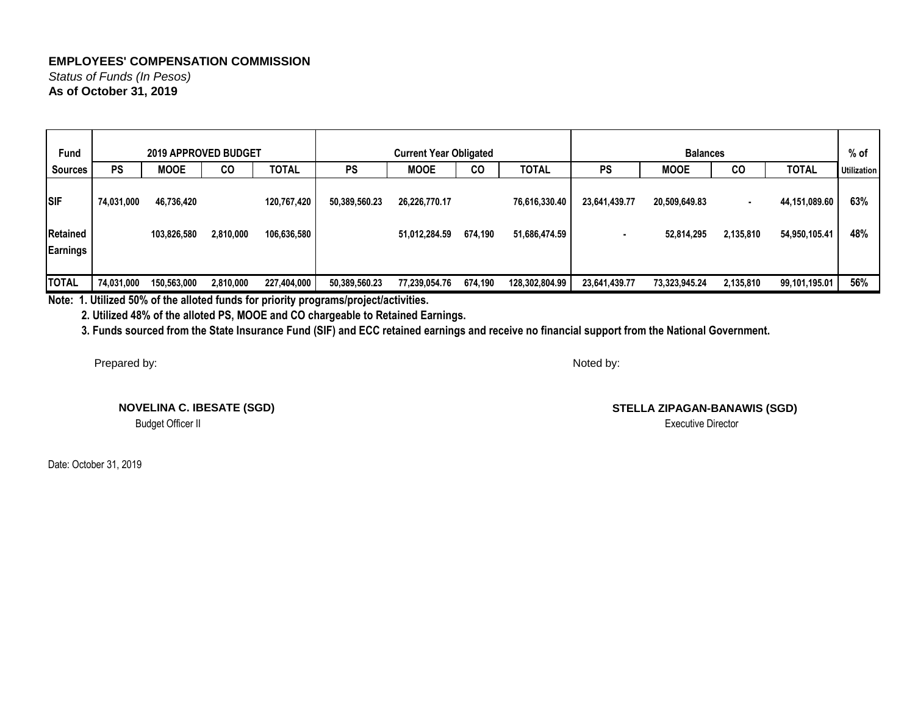*Status of Funds (In Pesos)* **As of October 31, 2019**

| <b>Fund</b>                   |            | <b>2019 APPROVED BUDGET</b> |           |                            |               | <b>Current Year Obligated</b>  |         |                                |               | <b>Balances</b>             |                             |                                | % of               |
|-------------------------------|------------|-----------------------------|-----------|----------------------------|---------------|--------------------------------|---------|--------------------------------|---------------|-----------------------------|-----------------------------|--------------------------------|--------------------|
| <b>Sources</b>                | <b>PS</b>  | <b>MOOE</b>                 | CO        | <b>TOTAL</b>               | <b>PS</b>     | <b>MOOE</b>                    | CO      | <b>TOTAL</b>                   | <b>PS</b>     | <b>MOOE</b>                 | CO                          | <b>TOTAL</b>                   | <b>Utilization</b> |
| <b>SIF</b><br><b>Retained</b> | 74,031,000 | 46,736,420<br>103,826,580   | 2,810,000 | 120,767,420<br>106,636,580 | 50,389,560.23 | 26,226,770.17<br>51,012,284.59 | 674,190 | 76,616,330.40<br>51,686,474.59 | 23,641,439.77 | 20,509,649.83<br>52,814,295 | $\blacksquare$<br>2,135,810 | 44,151,089.60<br>54,950,105.41 | 63%<br>48%         |
| Earnings                      |            |                             |           |                            |               |                                |         |                                |               |                             |                             |                                |                    |
| <b>TOTAL</b>                  | 74,031,000 | 150,563,000                 | 2,810,000 | 227,404,000                | 50,389,560.23 | 77,239,054.76                  | 674,190 | 128,302,804.99                 | 23,641,439.77 | 73,323,945.24               | 2,135,810                   | 99,101,195.01                  | 56%                |

**Note: 1. Utilized 50% of the alloted funds for priority programs/project/activities.**

 **2. Utilized 48% of the alloted PS, MOOE and CO chargeable to Retained Earnings.**

 **3. Funds sourced from the State Insurance Fund (SIF) and ECC retained earnings and receive no financial support from the National Government.**

Prepared by:

 **NOVELINA C. IBESATE (SGD)** Budget Officer II

Date: October 31, 2019

Noted by:

**STELLA ZIPAGAN-BANAWIS (SGD)**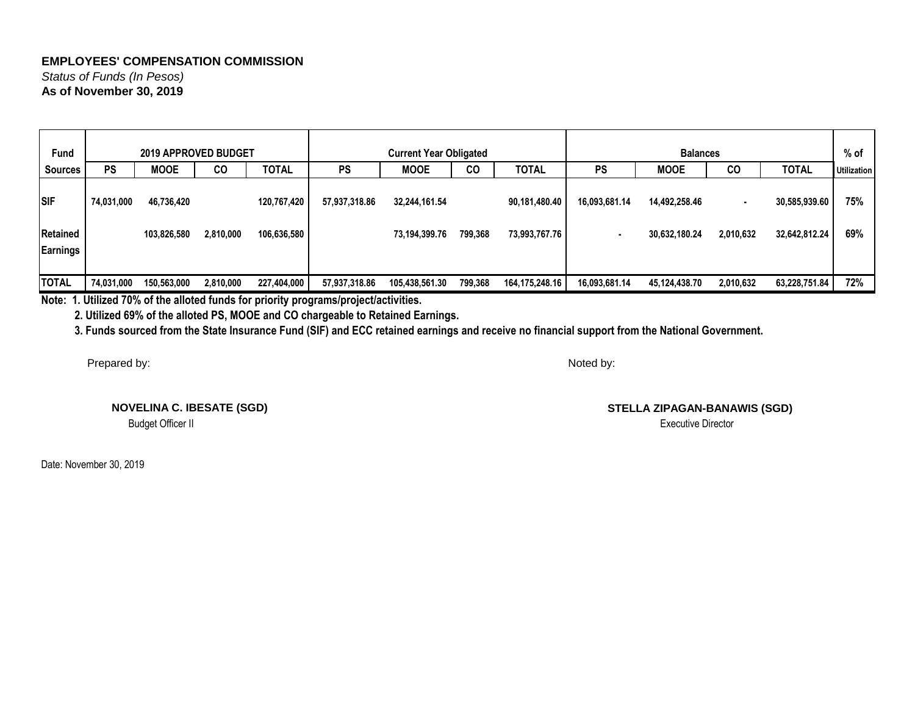*Status of Funds (In Pesos)* **As of November 30, 2019**

| <b>Fund</b>     |            | <b>2019 APPROVED BUDGET</b> |           |              |               | <b>Current Year Obligated</b> |         |                |               | <b>Balances</b> |           |               | $%$ of             |
|-----------------|------------|-----------------------------|-----------|--------------|---------------|-------------------------------|---------|----------------|---------------|-----------------|-----------|---------------|--------------------|
| <b>Sources</b>  | <b>PS</b>  | <b>MOOE</b>                 | CO        | <b>TOTAL</b> | <b>PS</b>     | <b>MOOE</b>                   | CO      | <b>TOTAL</b>   | PS            | <b>MOOE</b>     | CO        | <b>TOTAL</b>  | <b>Utilization</b> |
| <b>SIF</b>      | 74,031,000 | 46,736,420                  |           | 120,767,420  | 57,937,318.86 | 32,244,161.54                 |         | 90,181,480.40  | 16,093,681.14 | 14,492,258.46   |           | 30,585,939.60 | 75%                |
| <b>Retained</b> |            | 103,826,580                 | 2,810,000 | 106,636,580  |               | 73,194,399.76                 | 799,368 | 73,993,767.76  |               | 30,632,180.24   | 2,010,632 | 32,642,812.24 | 69%                |
| Earnings        |            |                             |           |              |               |                               |         |                |               |                 |           |               |                    |
| <b>TOTAL</b>    | 74,031,000 | 150,563,000                 | 2,810,000 | 227,404,000  | 57,937,318.86 | 105,438,561.30                | 799,368 | 164,175,248.16 | 16,093,681.14 | 45,124,438.70   | 2,010,632 | 63,228,751.84 | 72%                |

**Note: 1. Utilized 70% of the alloted funds for priority programs/project/activities.**

 **2. Utilized 69% of the alloted PS, MOOE and CO chargeable to Retained Earnings.**

 **3. Funds sourced from the State Insurance Fund (SIF) and ECC retained earnings and receive no financial support from the National Government.**

Prepared by:

Noted by:

**NOVELINA C. IBESATE (SGD)**

Budget Officer II

Date: November 30, 2019

**STELLA ZIPAGAN-BANAWIS (SGD)**